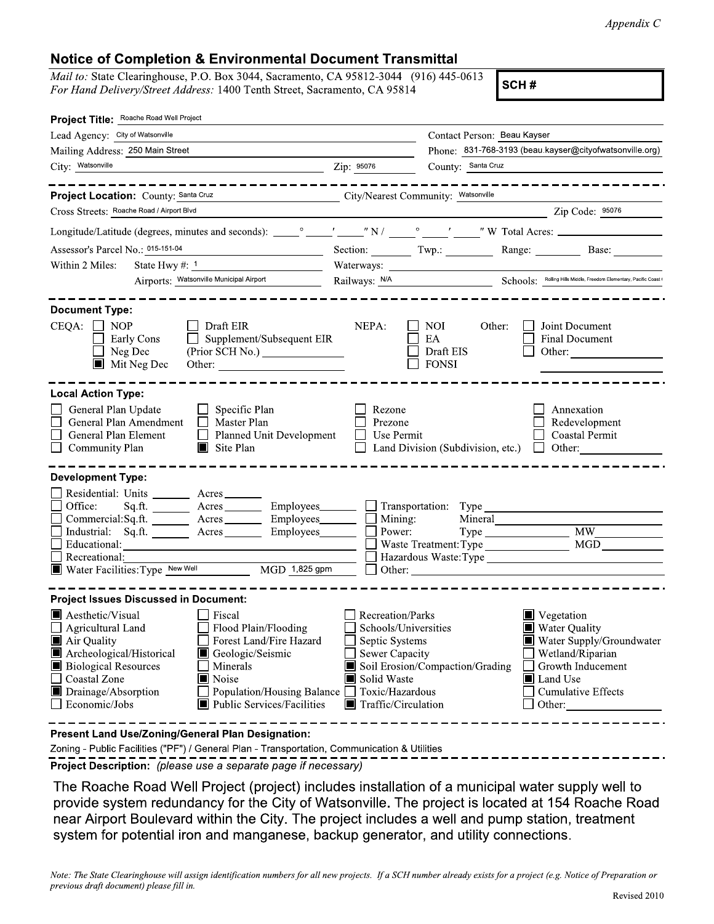## **Notice of Completion** & **Environmental Document Transmittal**

*Mail to:* State Clearinghouse, P.O. Box 3044, Sacramento, CA 95812-3044 (916) 445-0613 *For Hand Delivery/Street Address:* 1400 Tenth Street, Sacramento, CA 95814 **SCH #** 

| Project Title: Roache Road Well Project                                                                                                                                                                                                                                                                                                                                                           |                                                                                                                                          |                                                    |                                                                                                                                                         |
|---------------------------------------------------------------------------------------------------------------------------------------------------------------------------------------------------------------------------------------------------------------------------------------------------------------------------------------------------------------------------------------------------|------------------------------------------------------------------------------------------------------------------------------------------|----------------------------------------------------|---------------------------------------------------------------------------------------------------------------------------------------------------------|
| Lead Agency: City of Watsonville                                                                                                                                                                                                                                                                                                                                                                  |                                                                                                                                          | Contact Person: Beau Kayser                        |                                                                                                                                                         |
| Mailing Address: 250 Main Street                                                                                                                                                                                                                                                                                                                                                                  |                                                                                                                                          |                                                    | Phone: 831-768-3193 (beau kayser@cityofwatsonville.org)                                                                                                 |
| City: Watsonville<br>$\frac{1}{2}$ $\frac{1}{2}$ $\frac{1}{2}$ $\frac{1}{2}$ $\frac{1}{2}$ $\frac{1}{2}$ $\frac{1}{2}$ $\frac{1}{2}$ $\frac{1}{2}$ $\frac{1}{2}$ $\frac{1}{2}$ $\frac{1}{2}$ $\frac{1}{2}$ $\frac{1}{2}$ $\frac{1}{2}$ $\frac{1}{2}$ $\frac{1}{2}$ $\frac{1}{2}$ $\frac{1}{2}$ $\frac{1}{2}$ $\frac{1}{2}$ $\frac{1}{2}$                                                          |                                                                                                                                          | County: Santa Cruz                                 |                                                                                                                                                         |
| _____________                                                                                                                                                                                                                                                                                                                                                                                     |                                                                                                                                          |                                                    |                                                                                                                                                         |
| Project Location: County: Santa Cruz<br>City/Nearest Community: Watsonville                                                                                                                                                                                                                                                                                                                       |                                                                                                                                          |                                                    |                                                                                                                                                         |
| Cross Streets: Roache Road / Airport Blvd                                                                                                                                                                                                                                                                                                                                                         |                                                                                                                                          |                                                    | Zip Code: 95076                                                                                                                                         |
|                                                                                                                                                                                                                                                                                                                                                                                                   |                                                                                                                                          |                                                    |                                                                                                                                                         |
| Assessor's Parcel No.: 015-151-04<br>$\overline{\phantom{a}}$                                                                                                                                                                                                                                                                                                                                     |                                                                                                                                          |                                                    | Section: Twp.: Range: Base:                                                                                                                             |
| Within 2 Miles:                                                                                                                                                                                                                                                                                                                                                                                   |                                                                                                                                          |                                                    |                                                                                                                                                         |
| Airports: Watsonville Municipal Airport                                                                                                                                                                                                                                                                                                                                                           |                                                                                                                                          |                                                    | Railways: N/A Schools: Schools: Mailing Hills Middle, Freedom Elementary, Pacific Coast (                                                               |
| <b>Document Type:</b>                                                                                                                                                                                                                                                                                                                                                                             |                                                                                                                                          |                                                    |                                                                                                                                                         |
| $CEQA: \Box NOP$<br>$\Box$ Draft EIR<br>$\Box$ Supplement/Subsequent EIR<br>Early Cons<br>Neg Dec<br>(Prior SCH No.)<br>$\blacksquare$ Mit Neg Dec                                                                                                                                                                                                                                                | NEPA:                                                                                                                                    | NOI -<br>Other:<br>EA<br>Draft EIS<br><b>FONSI</b> | Joint Document<br><b>Final Document</b><br>Other:                                                                                                       |
| <b>Local Action Type:</b><br>General Plan Update<br>$\Box$ Specific Plan<br>General Plan Amendment □ Master Plan<br>General Plan Element Planned Unit Development<br>Community Plan<br>$\blacksquare$ Site Plan                                                                                                                                                                                   | Rezone<br>Prezone<br>Use Permit                                                                                                          | Land Division (Subdivision, etc.) $\Box$ Other:    | Annexation<br>Redevelopment<br>Coastal Permit                                                                                                           |
| <b>Development Type:</b><br>Residential: Units _________ Acres _______<br>Office:<br>Sq.ft. ________ Acres __________ Employees ________ ___ Transportation: Type __________<br>Commercial:Sq.ft. _________ Acres __________ Employees________<br>Industrial: Sq.ft. ________ Acres _______<br>Employees_______<br>Educational:<br>Recreational:<br>Water Facilities: Type New Well MGD 1,825 gpm | Mining:<br>Power:                                                                                                                        | Mineral<br>$\Box$ Other:                           | <b>MGD</b>                                                                                                                                              |
| <b>Project Issues Discussed in Document:</b>                                                                                                                                                                                                                                                                                                                                                      |                                                                                                                                          |                                                    |                                                                                                                                                         |
| Aesthetic/Visual<br>$\Box$ Fiscal<br>Flood Plain/Flooding<br>$\Box$ Agricultural Land<br>Air Quality<br>Forest Land/Fire Hazard<br>Archeological/Historical<br>Geologic/Seismic<br><b>Biological Resources</b><br>Minerals<br>Coastal Zone<br>Noise<br>Drainage/Absorption<br>Population/Housing Balance □ Toxic/Hazardous<br>Public Services/Facilities<br>$\Box$ Economic/Jobs                  | Recreation/Parks<br>Schools/Universities<br>Septic Systems<br><b>Sewer Capacity</b><br>Solid Waste<br>$\blacksquare$ Traffic/Circulation | Soil Erosion/Compaction/Grading                    | ■ Vegetation<br>■ Water Quality<br>Water Supply/Groundwater<br>Wetland/Riparian<br>Growth Inducement<br>Land Use<br><b>Cumulative Effects</b><br>Other: |
| Present Land Use/Zoning/General Plan Designation:                                                                                                                                                                                                                                                                                                                                                 |                                                                                                                                          |                                                    |                                                                                                                                                         |

Zoning - Public Facilities ("PF")/ General Plan - Transportation, Communication & Utilities

-------------------------------------------------------------■ **Project Description:** (please use a separate page if necessary)

The Roache Road Well Project (project) includes installation of a municipal water supply well to provide system redundancy for the City of Watsonville. The project is located at 154 Roache Road near Airport Boulevard within the City. The project includes a well and pump station, treatment system for potential iron and manganese, backup generator, and utility connections.

*Note: The State Clearinghouse will assign identification numbers for all new projects. If a SCH number already exists for a project (e.g. Notice of Preparation or previous draft document) please.fill in.*